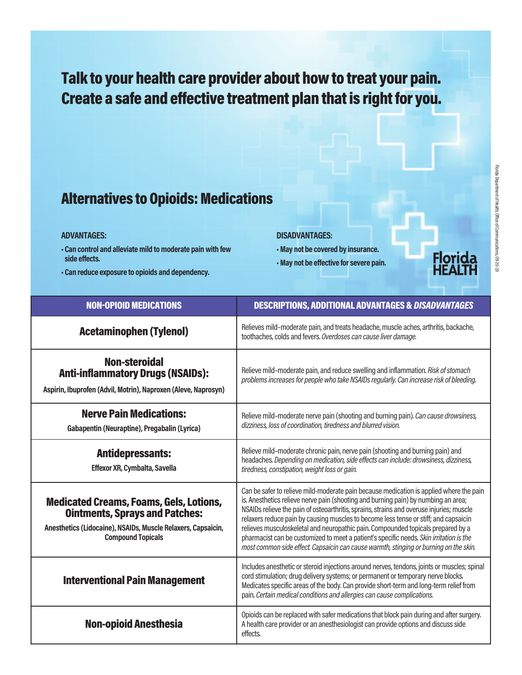# **Talk to your health care provider about howto treat your pain. Create** a safe and effective treatment plan that is right for you.

### **Alternatives to Opioids: Medications**

#### **AdvAntAges:**

- **• Can control and alleviate mild to moderate painwith few side effects.**
- **• Can reduce exposure to opioids and dependency.**

#### **disAdvAntAges:**

- **•May not be covered by insurance.**
- **•May not be effective for severe pain.**



| <b>NON-OPIOID MEDICATIONS</b>                                                                                                                                                       | <b>DESCRIPTIONS, ADDITIONAL ADVANTAGES &amp; DISADVANTAGES</b>                                                                                                                                                                                                                                                                                                                                                                                                                                                                                                                                                                            |
|-------------------------------------------------------------------------------------------------------------------------------------------------------------------------------------|-------------------------------------------------------------------------------------------------------------------------------------------------------------------------------------------------------------------------------------------------------------------------------------------------------------------------------------------------------------------------------------------------------------------------------------------------------------------------------------------------------------------------------------------------------------------------------------------------------------------------------------------|
| <b>Acetaminophen (Tylenol)</b>                                                                                                                                                      | Relieves mild-moderate pain, and treats headache, muscle aches, arthritis, backache,<br>toothaches, colds and fevers. Overdoses can cause liver damage.                                                                                                                                                                                                                                                                                                                                                                                                                                                                                   |
| <b>Non-steroidal</b><br><b>Anti-inflammatory Drugs (NSAIDs):</b><br>Aspirin, Ibuprofen (Advil, Motrin), Naproxen (Aleve, Naprosyn)                                                  | Relieve mild-moderate pain, and reduce swelling and inflammation. Risk of stomach<br>problems increases for people who take NSAIDs regularly. Can increase risk of bleeding.                                                                                                                                                                                                                                                                                                                                                                                                                                                              |
| <b>Nerve Pain Medications:</b><br>Gabapentin (Neuraptine), Pregabalin (Lyrica)                                                                                                      | Relieve mild-moderate nerve pain (shooting and burning pain). Can cause drowsiness,<br>dizziness, loss of coordination, tiredness and blurred vision.                                                                                                                                                                                                                                                                                                                                                                                                                                                                                     |
| <b>Antidepressants:</b><br>Effexor XR, Cymbalta, Savella                                                                                                                            | Relieve mild-moderate chronic pain, nerve pain (shooting and burning pain) and<br>headaches. Depending on medication, side effects can include: drowsiness, dizziness,<br>tiredness, constipation, weight loss or gain.                                                                                                                                                                                                                                                                                                                                                                                                                   |
| <b>Medicated Creams, Foams, Gels, Lotions,</b><br><b>Ointments, Sprays and Patches:</b><br>Anesthetics (Lidocaine), NSAIDs, Muscle Relaxers, Capsaicin,<br><b>Compound Topicals</b> | Can be safer to relieve mild-moderate pain because medication is applied where the pain<br>is. Anesthetics relieve nerve pain (shooting and burning pain) by numbing an area;<br>NSAIDs relieve the pain of osteoarthritis, sprains, strains and overuse injuries; muscle<br>relaxers reduce pain by causing muscles to become less tense or stiff; and capsaicin<br>relieves musculoskeletal and neuropathic pain. Compounded topicals prepared by a<br>pharmacist can be customized to meet a patient's specific needs. Skin irritation is the<br>most common side effect. Capsaicin can cause warmth, stinging or burning on the skin. |
| <b>Interventional Pain Management</b>                                                                                                                                               | Includes anesthetic or steroid injections around nerves, tendons, joints or muscles; spinal<br>cord stimulation; drug delivery systems; or permanent or temporary nerve blocks.<br>Medicates specific areas of the body. Can provide short-term and long-term relief from<br>pain. Certain medical conditions and allergies can cause complications.                                                                                                                                                                                                                                                                                      |
| <b>Non-opioid Anesthesia</b>                                                                                                                                                        | Opioids can be replaced with safer medications that block pain during and after surgery.<br>A health care provider or an anesthesiologist can provide options and discuss side<br>effects.                                                                                                                                                                                                                                                                                                                                                                                                                                                |